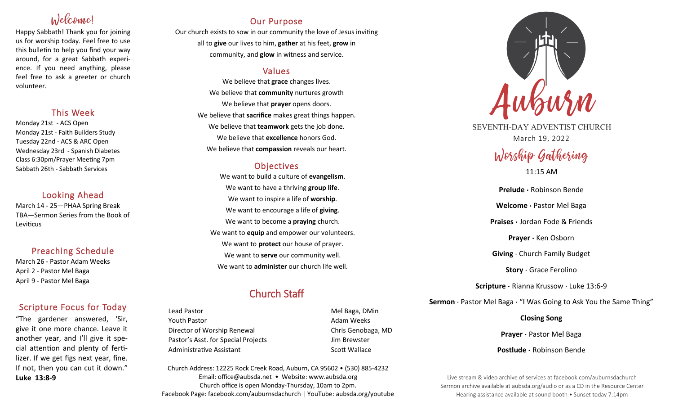# Welcome!

Happy Sabbath! Thank you for joining us for worship today. Feel free to use this bulletin to help you find your way around, for a great Sabbath experience. If you need anything, please feel free to ask a greeter or church volunteer.

# This Week

Monday 21st - ACS Open Monday 21st - Faith Builders Study Tuesday 22nd - ACS & ARC Open Wednesday 23rd - Spanish Diabetes Class 6:30pm/Prayer Meeting 7pm Sabbath 26th - Sabbath Services

# Looking Ahead

March 14 - 25—PHAA Spring Break TBA—Sermon Series from the Book of Leviticus

# Preaching Schedule

March 26 - Pastor Adam Weeks April 2 - Pastor Mel Baga April 9 - Pastor Mel Baga

# Scripture Focus for Today

"The gardener answered, 'Sir, give it one more chance. Leave it another year, and I'll give it special attention and plenty of fertilizer. If we get figs next year, fine. If not, then you can cut it down." **Luke 13:8-9**

# Our Purpose

Our church exists to sow in our community the love of Jesus inviting all to **give** our lives to him, **gather** at his feet, **grow** in community, and **glow** in witness and service.

# Values

We believe that **grace** changes lives. We believe that **community** nurtures growth We believe that **prayer** opens doors. We believe that **sacrifice** makes great things happen. We believe that **teamwork** gets the job done. We believe that **excellence** honors God. We believe that **compassion** reveals our heart.

# **Objectives**

We want to build a culture of **evangelism**. We want to have a thriving **group life**. We want to inspire a life of **worship**. We want to encourage a life of **giving**. We want to become a **praying** church. We want to **equip** and empower our volunteers. We want to **protect** our house of prayer. We want to **serve** our community well. We want to **administer** our church life well.

# Church Staff

Lead Pastor **Mel Baga**, DMin Youth Pastor **Adam Weeks Adam Weeks** Director of Worship Renewal Chris Genobaga, MD Pastor's Asst. for Special Projects Fig. 3.1 Jim Brewster Administrative Assistant National Controllery Scott Wallace

Church Address: 12225 Rock Creek Road, Auburn, CA 95602 • (530) 885-4232 Email: office@aubsda.net • Website: www.aubsda.org Church office is open Monday-Thursday, 10am to 2pm. Facebook Page: facebook.com/auburnsdachurch | YouTube: aubsda.org/youtube



SEVENTH-DAY ADVENTIST CHURCH March 19, 2022

# Worship Gathering

11:15 AM

**Prelude ·** Robinson Bende **Welcome ·** Pastor Mel Baga **Praises ·** Jordan Fode & Friends **Prayer ·** Ken Osborn **Giving** · Church Family Budget **Story** · Grace Ferolino **Scripture ·** Rianna Krussow · Luke 13:6-9 **Sermon** · Pastor Mel Baga · "I Was Going to Ask You the Same Thing"

> **Closing Song Prayer ·** Pastor Mel Baga

**Postlude ·** Robinson Bende

Live stream & video archive of services at facebook.com/auburnsdachurch Sermon archive available at aubsda.org/audio or as a CD in the Resource Center Hearing assistance available at sound booth • Sunset today 7:14pm